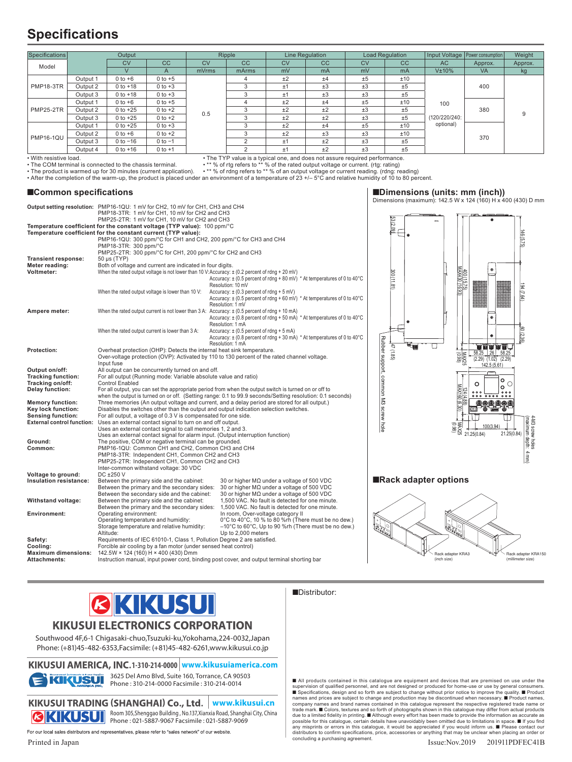# **Specifications**

|                                                                                                                                                                                                                                                                                                                                                                                                                                                                                                                                                                                                                                                                                                                                                                                                                                              |          |                                                                                                                                                                                                                                                                                                                                                             |             |           |                                                                                                                                                             | Line Regulation |           | <b>Load Regulation</b> |                                                                                                                                                                                                                                                                                                                                                     |                   |                                     |                                                                  |                                     |
|----------------------------------------------------------------------------------------------------------------------------------------------------------------------------------------------------------------------------------------------------------------------------------------------------------------------------------------------------------------------------------------------------------------------------------------------------------------------------------------------------------------------------------------------------------------------------------------------------------------------------------------------------------------------------------------------------------------------------------------------------------------------------------------------------------------------------------------------|----------|-------------------------------------------------------------------------------------------------------------------------------------------------------------------------------------------------------------------------------------------------------------------------------------------------------------------------------------------------------------|-------------|-----------|-------------------------------------------------------------------------------------------------------------------------------------------------------------|-----------------|-----------|------------------------|-----------------------------------------------------------------------------------------------------------------------------------------------------------------------------------------------------------------------------------------------------------------------------------------------------------------------------------------------------|-------------------|-------------------------------------|------------------------------------------------------------------|-------------------------------------|
| Specifications                                                                                                                                                                                                                                                                                                                                                                                                                                                                                                                                                                                                                                                                                                                                                                                                                               |          | Output                                                                                                                                                                                                                                                                                                                                                      |             |           | Ripple                                                                                                                                                      |                 |           |                        |                                                                                                                                                                                                                                                                                                                                                     |                   |                                     | Input Voltage   Power consumption                                | Weight                              |
| Model                                                                                                                                                                                                                                                                                                                                                                                                                                                                                                                                                                                                                                                                                                                                                                                                                                        |          | <b>CV</b>                                                                                                                                                                                                                                                                                                                                                   | cc          | <b>CV</b> | CC                                                                                                                                                          | <b>CV</b>       | cc        | <b>CV</b>              |                                                                                                                                                                                                                                                                                                                                                     | cc                | <b>AC</b>                           | Approx.                                                          | Approx.                             |
|                                                                                                                                                                                                                                                                                                                                                                                                                                                                                                                                                                                                                                                                                                                                                                                                                                              |          | $\vee$                                                                                                                                                                                                                                                                                                                                                      | A           | mVrms     | mArms                                                                                                                                                       | mV              | mA        | mV                     |                                                                                                                                                                                                                                                                                                                                                     | mA                | V±10%                               | <b>VA</b>                                                        | kg                                  |
| <b>PMP18-3TR</b>                                                                                                                                                                                                                                                                                                                                                                                                                                                                                                                                                                                                                                                                                                                                                                                                                             | Output 1 | $0$ to $+6$                                                                                                                                                                                                                                                                                                                                                 | $0$ to $+5$ |           | 4                                                                                                                                                           | ±2              | ±4        | $\pm 5$                |                                                                                                                                                                                                                                                                                                                                                     | ±10               |                                     |                                                                  |                                     |
|                                                                                                                                                                                                                                                                                                                                                                                                                                                                                                                                                                                                                                                                                                                                                                                                                                              | Output 2 | $0$ to $+18$                                                                                                                                                                                                                                                                                                                                                | $0 to +3$   |           | 3                                                                                                                                                           | ±1              | ±3        | $\pm 3$                |                                                                                                                                                                                                                                                                                                                                                     | ±5                |                                     | 400                                                              |                                     |
|                                                                                                                                                                                                                                                                                                                                                                                                                                                                                                                                                                                                                                                                                                                                                                                                                                              | Output 3 | $0$ to $+18$                                                                                                                                                                                                                                                                                                                                                | $0 to +3$   |           | 3                                                                                                                                                           | ±1              | ±3        | $\pm 3$                |                                                                                                                                                                                                                                                                                                                                                     | $\pm 5$           |                                     |                                                                  |                                     |
| <b>PMP25-2TR</b>                                                                                                                                                                                                                                                                                                                                                                                                                                                                                                                                                                                                                                                                                                                                                                                                                             | Output 1 | $0 to +6$                                                                                                                                                                                                                                                                                                                                                   | $0 to +5$   |           | 4                                                                                                                                                           | ±2              | ±4        | $\pm 5$                |                                                                                                                                                                                                                                                                                                                                                     | ±10               |                                     |                                                                  |                                     |
|                                                                                                                                                                                                                                                                                                                                                                                                                                                                                                                                                                                                                                                                                                                                                                                                                                              |          |                                                                                                                                                                                                                                                                                                                                                             |             |           | 3                                                                                                                                                           | ±2              |           |                        |                                                                                                                                                                                                                                                                                                                                                     |                   | 100                                 |                                                                  |                                     |
|                                                                                                                                                                                                                                                                                                                                                                                                                                                                                                                                                                                                                                                                                                                                                                                                                                              | Output 2 | 0 to $+25$                                                                                                                                                                                                                                                                                                                                                  | $0 to +2$   | 0.5       |                                                                                                                                                             |                 | ±2        | $\pm 3$                |                                                                                                                                                                                                                                                                                                                                                     | $\pm 5$           |                                     | 380                                                              | 9                                   |
|                                                                                                                                                                                                                                                                                                                                                                                                                                                                                                                                                                                                                                                                                                                                                                                                                                              | Output 3 | $0$ to $+25$                                                                                                                                                                                                                                                                                                                                                | $0$ to $+2$ |           | 3                                                                                                                                                           | ±2              | ±2        | $\pm 3$                |                                                                                                                                                                                                                                                                                                                                                     | ±5                | (120/220/240:                       |                                                                  |                                     |
| <b>PMP16-1QU</b>                                                                                                                                                                                                                                                                                                                                                                                                                                                                                                                                                                                                                                                                                                                                                                                                                             | Output 1 | $0$ to $+25$                                                                                                                                                                                                                                                                                                                                                | $0 to +3$   |           | 3                                                                                                                                                           | ±2              | ±4        | $\pm 5$                |                                                                                                                                                                                                                                                                                                                                                     | ±10               | optional)                           |                                                                  |                                     |
|                                                                                                                                                                                                                                                                                                                                                                                                                                                                                                                                                                                                                                                                                                                                                                                                                                              | Output 2 | $0 to +6$                                                                                                                                                                                                                                                                                                                                                   | $0 to +2$   |           | 3                                                                                                                                                           | ±2              | ±3        | ±3                     |                                                                                                                                                                                                                                                                                                                                                     | ±10               |                                     | 370                                                              |                                     |
|                                                                                                                                                                                                                                                                                                                                                                                                                                                                                                                                                                                                                                                                                                                                                                                                                                              | Output 3 | $0 to -16$                                                                                                                                                                                                                                                                                                                                                  | $0$ to $-1$ |           | $\overline{2}$                                                                                                                                              | ±1              | ±2        | $\pm 3$                |                                                                                                                                                                                                                                                                                                                                                     | ±5                |                                     |                                                                  |                                     |
|                                                                                                                                                                                                                                                                                                                                                                                                                                                                                                                                                                                                                                                                                                                                                                                                                                              | Output 4 | $0$ to $+16$                                                                                                                                                                                                                                                                                                                                                | $0$ to $+1$ |           | $\overline{2}$                                                                                                                                              | ±1              | ±2        | ±3                     |                                                                                                                                                                                                                                                                                                                                                     | ±5                |                                     |                                                                  |                                     |
| • The TYP value is a typical one, and does not assure required performance.<br>With resistive load.<br>• ** % of rtg refers to ** % of the rated output voltage or current. (rtg: rating)<br>The COM terminal is connected to the chassis terminal.<br>• The product is warmed up for 30 minutes (current application).<br>• ** % of rdng refers to ** % of an output voltage or current reading. (rdng: reading)<br>After the completion of the warm-up, the product is placed under an environment of a temperature of 23 +/-5°C and relative humidity of 10 to 80 percent.<br>■Common specifications<br>Dimensions (units: mm (inch))<br>Dimensions (maximum): 142.5 W x 124 (160) H x 400 (430) D mm<br>Output setting resolution: PMP16-1QU: 1 mV for CH2, 10 mV for CH1, CH3 and CH4<br>PMP18-3TR: 1 mV for CH1, 10 mV for CH2 and CH3 |          |                                                                                                                                                                                                                                                                                                                                                             |             |           |                                                                                                                                                             |                 |           |                        |                                                                                                                                                                                                                                                                                                                                                     |                   |                                     |                                                                  |                                     |
|                                                                                                                                                                                                                                                                                                                                                                                                                                                                                                                                                                                                                                                                                                                                                                                                                                              |          | PMP25-2TR: 1 mV for CH1, 10 mV for CH2 and CH3<br>Temperature coefficient for the constant voltage (TYP value): $100$ $ppm$ /°C<br>Temperature coefficient for the constant current (TYP value):<br>PMP16-1QU: 300 ppm/°C for CH1 and CH2, 200 ppm/°C for CH3 and CH4<br>PMP18-3TR: 300 ppm/°C<br>PMP25-2TR: 300 ppm/°C for CH1, 200 ppm/°C for CH2 and CH3 |             |           |                                                                                                                                                             |                 | 53 (2.09) |                        |                                                                                                                                                                                                                                                                                                                                                     | 6.75              |                                     |                                                                  |                                     |
| Transient response:<br>Meter reading:<br>Voltmeter:                                                                                                                                                                                                                                                                                                                                                                                                                                                                                                                                                                                                                                                                                                                                                                                          |          | 50 μs (TYP)<br>Both of voltage and current are indicated in four digits.<br>When the rated output voltage is not lower than 10 V: Accuracy: $\pm$ (0.2 percent of rdng + 20 mV)                                                                                                                                                                             |             |           | Accuracy: ± (0.5 percent of rdng + 80 mV) * At temperatures of 0 to 40°C<br>Resolution: 10 mV                                                               |                 |           |                        |                                                                                                                                                                                                                                                                                                                                                     | $\frac{1}{11.81}$ | 400 (15.75)<br>MAX430 (16.93)       | $\circledast$                                                    |                                     |
| Ampere meter:                                                                                                                                                                                                                                                                                                                                                                                                                                                                                                                                                                                                                                                                                                                                                                                                                                |          | When the rated output voltage is lower than 10 V:                                                                                                                                                                                                                                                                                                           |             |           | Accuracy: $\pm$ (0.3 percent of rdng + 5 mV)<br>Accuracy: $\pm$ (0.5 percent of rdng + 60 mV) * At temperatures of 0 to 40 $^{\circ}$ C<br>Resolution: 1 mV |                 |           |                        |                                                                                                                                                                                                                                                                                                                                                     |                   |                                     |                                                                  |                                     |
|                                                                                                                                                                                                                                                                                                                                                                                                                                                                                                                                                                                                                                                                                                                                                                                                                                              |          | When the rated output current is not lower than $3 A$ : Accuracy: $\pm$ (0.5 percent of rdng + 10 mA)                                                                                                                                                                                                                                                       |             |           | Accuracy: $\pm$ (0.8 percent of rdng + 50 mA) * At temperatures of 0 to 40 $^{\circ}$ C<br>Resolution: 1 mA                                                 |                 |           |                        |                                                                                                                                                                                                                                                                                                                                                     |                   |                                     | ٠                                                                | 13                                  |
|                                                                                                                                                                                                                                                                                                                                                                                                                                                                                                                                                                                                                                                                                                                                                                                                                                              |          | When the rated output current is lower than 3 A:<br>Accuracy: $\pm$ (0.5 percent of rdng + 5 mA)<br>Accuracy: $\pm$ (0.8 percent of rdng + 30 mA) * At temperatures of 0 to 40 $^{\circ}$ C<br>Rubber support, common M3 screw hole<br>Resolution: 1 mA                                                                                                     |             |           |                                                                                                                                                             |                 |           |                        |                                                                                                                                                                                                                                                                                                                                                     |                   |                                     | unuut                                                            | ন                                   |
| Protection:                                                                                                                                                                                                                                                                                                                                                                                                                                                                                                                                                                                                                                                                                                                                                                                                                                  |          | Overheat protection (OHP): Detects the internal heat sink temperature.<br>Over-voltage protection (OVP): Activated by 110 to 130 percent of the rated channel voltage.<br>Input fuse                                                                                                                                                                        |             |           |                                                                                                                                                             |                 |           |                        |                                                                                                                                                                                                                                                                                                                                                     | 47(1.85)          | <b>MAZ55</b>                        | $58.25$ 26<br>58.25<br>$(2.29)$ $(1.02)$ $(2.29)$<br>142.5(5.61) |                                     |
| Output on/off:<br>Tracking function:<br>Tracking on/off:<br>Delay function:<br><b>Memory function:</b>                                                                                                                                                                                                                                                                                                                                                                                                                                                                                                                                                                                                                                                                                                                                       |          | All output can be concurrently turned on and off.                                                                                                                                                                                                                                                                                                           |             |           |                                                                                                                                                             |                 |           |                        |                                                                                                                                                                                                                                                                                                                                                     |                   |                                     |                                                                  |                                     |
|                                                                                                                                                                                                                                                                                                                                                                                                                                                                                                                                                                                                                                                                                                                                                                                                                                              |          | For all output (Running mode: Variable absolute value and ratio)                                                                                                                                                                                                                                                                                            |             |           |                                                                                                                                                             |                 |           |                        |                                                                                                                                                                                                                                                                                                                                                     |                   |                                     | ۰                                                                |                                     |
|                                                                                                                                                                                                                                                                                                                                                                                                                                                                                                                                                                                                                                                                                                                                                                                                                                              |          | <b>Control Enabled</b><br>For all output, you can set the appropriate period from when the output switch is turned on or off to                                                                                                                                                                                                                             |             |           |                                                                                                                                                             |                 |           |                        |                                                                                                                                                                                                                                                                                                                                                     |                   | 124 (4.8                            | o<br>$\circ$<br>000                                              | O<br>000                            |
|                                                                                                                                                                                                                                                                                                                                                                                                                                                                                                                                                                                                                                                                                                                                                                                                                                              |          | when the output is turned on or off. (Setting range: 0.1 to 99.9 seconds/Setting resolution: 0.1 seconds)                                                                                                                                                                                                                                                   |             |           |                                                                                                                                                             |                 |           |                        |                                                                                                                                                                                                                                                                                                                                                     |                   |                                     | 00000000000                                                      |                                     |
|                                                                                                                                                                                                                                                                                                                                                                                                                                                                                                                                                                                                                                                                                                                                                                                                                                              |          | Three memories (An output voltage and current, and a delay period are stored for all output.)                                                                                                                                                                                                                                                               |             |           |                                                                                                                                                             |                 |           |                        |                                                                                                                                                                                                                                                                                                                                                     |                   |                                     |                                                                  |                                     |
| Key lock function:                                                                                                                                                                                                                                                                                                                                                                                                                                                                                                                                                                                                                                                                                                                                                                                                                           |          | Disables the switches other than the output and output indication selection switches.                                                                                                                                                                                                                                                                       |             |           |                                                                                                                                                             |                 |           |                        |                                                                                                                                                                                                                                                                                                                                                     |                   |                                     |                                                                  |                                     |
| <b>Sensing function:</b>                                                                                                                                                                                                                                                                                                                                                                                                                                                                                                                                                                                                                                                                                                                                                                                                                     |          | For all output, a voltage of 0.3 V is compensated for one side.                                                                                                                                                                                                                                                                                             |             |           |                                                                                                                                                             |                 |           |                        |                                                                                                                                                                                                                                                                                                                                                     |                   |                                     |                                                                  |                                     |
|                                                                                                                                                                                                                                                                                                                                                                                                                                                                                                                                                                                                                                                                                                                                                                                                                                              |          | External control function: Uses an external contact signal to turn on and off output.                                                                                                                                                                                                                                                                       |             |           |                                                                                                                                                             |                 |           |                        |                                                                                                                                                                                                                                                                                                                                                     |                   |                                     | 100(3.94)                                                        |                                     |
|                                                                                                                                                                                                                                                                                                                                                                                                                                                                                                                                                                                                                                                                                                                                                                                                                                              |          | Uses an external contact signal to call memories 1, 2 and 3.                                                                                                                                                                                                                                                                                                |             |           |                                                                                                                                                             |                 |           |                        |                                                                                                                                                                                                                                                                                                                                                     |                   |                                     |                                                                  |                                     |
|                                                                                                                                                                                                                                                                                                                                                                                                                                                                                                                                                                                                                                                                                                                                                                                                                                              |          | Uses an external contact signal for alarm input. (Output interruption function)                                                                                                                                                                                                                                                                             |             |           |                                                                                                                                                             |                 |           |                        |                                                                                                                                                                                                                                                                                                                                                     |                   |                                     | 21.25(0.84)                                                      | 21.25(0.84)                         |
| Ground:                                                                                                                                                                                                                                                                                                                                                                                                                                                                                                                                                                                                                                                                                                                                                                                                                                      |          | The positive, COM or negative terminal can be grounded.<br>PMP16-1QU: Common CH1 and CH2, Common CH3 and CH4                                                                                                                                                                                                                                                |             |           |                                                                                                                                                             |                 |           |                        |                                                                                                                                                                                                                                                                                                                                                     |                   |                                     |                                                                  | 4-M3 screw holes<br>(maximum depth: |
| Common:                                                                                                                                                                                                                                                                                                                                                                                                                                                                                                                                                                                                                                                                                                                                                                                                                                      |          |                                                                                                                                                                                                                                                                                                                                                             |             |           |                                                                                                                                                             |                 |           |                        |                                                                                                                                                                                                                                                                                                                                                     |                   |                                     |                                                                  |                                     |
|                                                                                                                                                                                                                                                                                                                                                                                                                                                                                                                                                                                                                                                                                                                                                                                                                                              |          | PMP18-3TR: Independent CH1, Common CH2 and CH3                                                                                                                                                                                                                                                                                                              |             |           |                                                                                                                                                             |                 |           |                        |                                                                                                                                                                                                                                                                                                                                                     |                   |                                     |                                                                  | $\frac{4}{\sqrt{2}}$                |
|                                                                                                                                                                                                                                                                                                                                                                                                                                                                                                                                                                                                                                                                                                                                                                                                                                              |          | PMP25-2TR: Independent CH1, Common CH2 and CH3                                                                                                                                                                                                                                                                                                              |             |           |                                                                                                                                                             |                 |           |                        |                                                                                                                                                                                                                                                                                                                                                     |                   |                                     |                                                                  |                                     |
| Voltage to ground:                                                                                                                                                                                                                                                                                                                                                                                                                                                                                                                                                                                                                                                                                                                                                                                                                           |          | Inter-common withstand voltage: 30 VDC<br>DC ±250 V                                                                                                                                                                                                                                                                                                         |             |           |                                                                                                                                                             |                 |           |                        |                                                                                                                                                                                                                                                                                                                                                     |                   |                                     |                                                                  |                                     |
| Insulation resistance:                                                                                                                                                                                                                                                                                                                                                                                                                                                                                                                                                                                                                                                                                                                                                                                                                       |          |                                                                                                                                                                                                                                                                                                                                                             |             |           |                                                                                                                                                             |                 |           |                        |                                                                                                                                                                                                                                                                                                                                                     |                   | $\blacksquare$ Rack adapter options |                                                                  |                                     |
|                                                                                                                                                                                                                                                                                                                                                                                                                                                                                                                                                                                                                                                                                                                                                                                                                                              |          | Between the primary side and the cabinet:<br>30 or higher MΩ under a voltage of 500 VDC<br>30 or higher MΩ under a voltage of 500 VDC<br>Between the primary and the secondary sides:                                                                                                                                                                       |             |           |                                                                                                                                                             |                 |           |                        |                                                                                                                                                                                                                                                                                                                                                     |                   |                                     |                                                                  |                                     |
|                                                                                                                                                                                                                                                                                                                                                                                                                                                                                                                                                                                                                                                                                                                                                                                                                                              |          | Between the secondary side and the cabinet:                                                                                                                                                                                                                                                                                                                 |             |           | 30 or higher MΩ under a voltage of 500 VDC                                                                                                                  |                 |           |                        |                                                                                                                                                                                                                                                                                                                                                     |                   |                                     |                                                                  |                                     |
| Withstand voltage:                                                                                                                                                                                                                                                                                                                                                                                                                                                                                                                                                                                                                                                                                                                                                                                                                           |          | Between the primary side and the cabinet:                                                                                                                                                                                                                                                                                                                   |             |           | 1,500 VAC. No fault is detected for one minute.                                                                                                             |                 |           |                        |                                                                                                                                                                                                                                                                                                                                                     |                   |                                     |                                                                  |                                     |
|                                                                                                                                                                                                                                                                                                                                                                                                                                                                                                                                                                                                                                                                                                                                                                                                                                              |          | Between the primary and the secondary sides:                                                                                                                                                                                                                                                                                                                |             |           | 1,500 VAC. No fault is detected for one minute.                                                                                                             |                 |           |                        |                                                                                                                                                                                                                                                                                                                                                     |                   |                                     |                                                                  |                                     |
| Environment:                                                                                                                                                                                                                                                                                                                                                                                                                                                                                                                                                                                                                                                                                                                                                                                                                                 |          | Operating environment:<br>Operating temperature and humidity:                                                                                                                                                                                                                                                                                               |             |           | In room, Over-voltage category II<br>0°C to 40°C, 10 % to 80 %rh (There must be no dew.)                                                                    |                 |           |                        |                                                                                                                                                                                                                                                                                                                                                     |                   |                                     |                                                                  |                                     |
|                                                                                                                                                                                                                                                                                                                                                                                                                                                                                                                                                                                                                                                                                                                                                                                                                                              |          | Storage temperature and relative humidity:<br>-10°C to 60°C, Up to 90 %rh (There must be no dew.)                                                                                                                                                                                                                                                           |             |           |                                                                                                                                                             |                 |           |                        | $\begin{picture}(180,10) \put(0,0){\line(1,0){10}} \put(10,0){\line(1,0){10}} \put(10,0){\line(1,0){10}} \put(10,0){\line(1,0){10}} \put(10,0){\line(1,0){10}} \put(10,0){\line(1,0){10}} \put(10,0){\line(1,0){10}} \put(10,0){\line(1,0){10}} \put(10,0){\line(1,0){10}} \put(10,0){\line(1,0){10}} \put(10,0){\line(1,0){10}} \put(10,0){\line($ |                   |                                     |                                                                  |                                     |
|                                                                                                                                                                                                                                                                                                                                                                                                                                                                                                                                                                                                                                                                                                                                                                                                                                              |          | Altitude:<br>Up to 2,000 meters                                                                                                                                                                                                                                                                                                                             |             |           |                                                                                                                                                             |                 |           |                        |                                                                                                                                                                                                                                                                                                                                                     |                   |                                     |                                                                  |                                     |
| Safety:                                                                                                                                                                                                                                                                                                                                                                                                                                                                                                                                                                                                                                                                                                                                                                                                                                      |          | Requirements of IEC 61010-1, Class 1, Pollution Degree 2 are satisfied.                                                                                                                                                                                                                                                                                     |             |           |                                                                                                                                                             |                 |           |                        |                                                                                                                                                                                                                                                                                                                                                     |                   |                                     |                                                                  |                                     |
| Cooling:                                                                                                                                                                                                                                                                                                                                                                                                                                                                                                                                                                                                                                                                                                                                                                                                                                     |          | Forcible air cooling by a fan motor (under sensed heat control)                                                                                                                                                                                                                                                                                             |             |           |                                                                                                                                                             |                 |           |                        |                                                                                                                                                                                                                                                                                                                                                     |                   |                                     |                                                                  |                                     |
| <b>Maximum dimensions:</b>                                                                                                                                                                                                                                                                                                                                                                                                                                                                                                                                                                                                                                                                                                                                                                                                                   |          | 142.5W × 124 (160) H × 400 (430) Dmm                                                                                                                                                                                                                                                                                                                        |             |           |                                                                                                                                                             |                 |           |                        |                                                                                                                                                                                                                                                                                                                                                     |                   | Rack adapter KRA3                   |                                                                  | Rack adapter KRA150                 |
| Attachments:                                                                                                                                                                                                                                                                                                                                                                                                                                                                                                                                                                                                                                                                                                                                                                                                                                 |          | Instruction manual, input power cord, binding post cover, and output terminal shorting bar                                                                                                                                                                                                                                                                  |             |           |                                                                                                                                                             |                 |           |                        |                                                                                                                                                                                                                                                                                                                                                     |                   | (inch size)                         |                                                                  | (millimeter size)                   |
|                                                                                                                                                                                                                                                                                                                                                                                                                                                                                                                                                                                                                                                                                                                                                                                                                                              |          |                                                                                                                                                                                                                                                                                                                                                             |             |           |                                                                                                                                                             |                 |           |                        |                                                                                                                                                                                                                                                                                                                                                     |                   |                                     |                                                                  |                                     |



#### **KIKUSUI ELECTRONICS CORPORATION**

Southwood 4F,6-1 Chigasaki-chuo,Tsuzuki-ku,Yokohama,224-0032,Japan Phone: (+81)45-482-6353,Facsimile: (+81)45-482-6261,www.kikusui.co.jp

**1-310-214-0000 www.kikusuiamerica.com** 3625 Del Amo Blvd, Suite 160, Torrance, CA 90503  $\epsilon$  kikusul

Phone : 310-214-0000 Facsimile : 310-214-0014

KIKUSUI TRADING (SHANGHAI) Co., Ltd. | www.kikusui.cn Room 305,Shenggao Building , No.137,Xianxia Road, Shanghai City, China **PHONE ISSUE AND PROOF 305, Shenggao Building**, No.157, Alarixia nvau, Jinangus<br>Phone : 021-5887-9067 Facsimile : 021-5887-9069

For our local sales distributors and representatives, please refer to "sales network" of our website.

#### ■Distributor:

■ All products contained in this catalogue are equipment and devices that are premised on use under the supervision of qualified personnel, and are not designed or produced for home-use or use by general consumers.<br>In Specifications, design and so forth are subject to change without prior notice to improve the quality. III distributors to confirm specifications, price, accessories or anything that may be unclear when placing an order or concluding a purchasing agreement.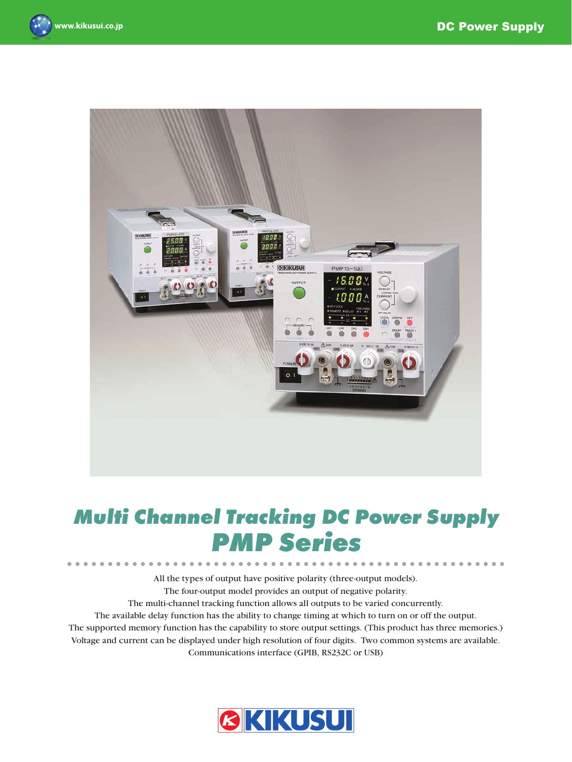



# *Multi Channel Tracking DC Power Supply PMP Series*

All the types of output have positive polarity (three-output models). The four-output model provides an output of negative polarity. The multi-channel tracking function allows all outputs to be varied concurrently. The available delay function has the ability to change timing at which to turn on or off the output. The supported memory function has the capability to store output settings. (This product has three memories.) Voltage and current can be displayed under high resolution of four digits. Two common systems are available. Communications interface (GPIB, RS232C or USB)

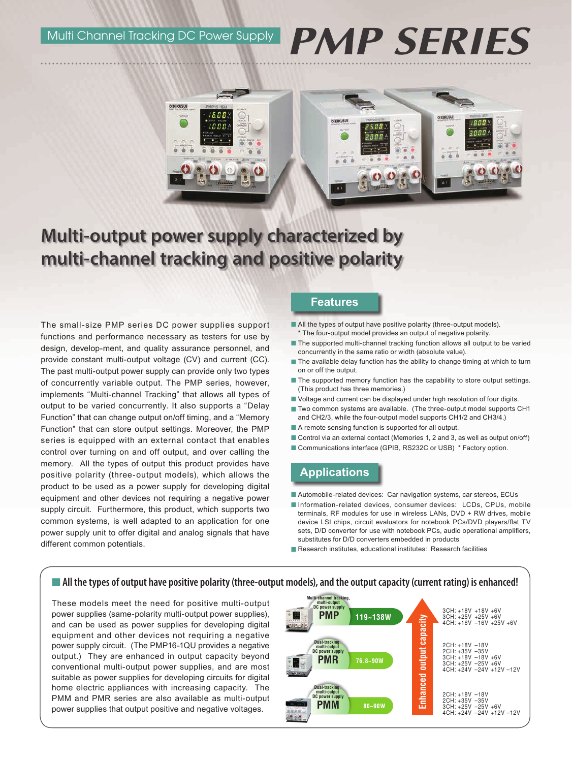Multi Channel Tracking DC Power Supply

# **PMP SERIES**



# **Multi-output power supply characterized by multi-channel tracking and positive polarity**

The small-size PMP series DC power supplies support functions and performance necessary as testers for use by design, develop-ment, and quality assurance personnel, and provide constant multi-output voltage (CV) and current (CC). The past multi-output power supply can provide only two types of concurrently variable output. The PMP series, however, implements "Multi-channel Tracking" that allows all types of output to be varied concurrently. It also supports a "Delay Function" that can change output on/off timing, and a "Memory Function" that can store output settings. Moreover, the PMP series is equipped with an external contact that enables control over turning on and off output, and over calling the memory. All the types of output this product provides have positive polarity (three-output models), which allows the product to be used as a power supply for developing digital equipment and other devices not requiring a negative power supply circuit. Furthermore, this product, which supports two common systems, is well adapted to an application for one power supply unit to offer digital and analog signals that have different common potentials.

#### **Features**

- All the types of output have positive polarity (three-output models). \* The four-output model provides an output of negative polarity.
- The supported multi-channel tracking function allows all output to be varied concurrently in the same ratio or width (absolute value).
- The available delay function has the ability to change timing at which to turn on or off the output.
- The supported memory function has the capability to store output settings. (This product has three memories.)
- Voltage and current can be displayed under high resolution of four digits.
- Two common systems are available. (The three-output model supports CH1 and CH2/3, while the four-output model supports CH1/2 and CH3/4.)
- A remote sensing function is supported for all output.
- Control via an external contact (Memories 1, 2 and 3, as well as output on/off)
- Communications interface (GPIB, RS232C or USB) \* Factory option.

# **Applications**

- Automobile-related devices: Car navigation systems, car stereos, ECUs
- Information-related devices, consumer devices: LCDs, CPUs, mobile terminals, RF modules for use in wireless LANs, DVD + RW drives, mobile device LSI chips, circuit evaluators for notebook PCs/DVD players/flat TV sets, D/D converter for use with notebook PCs, audio operational amplifiers, substitutes for D/D converters embedded in products
- Research institutes, educational institutes: Research facilities

#### ■ All the types of output have positive polarity (three-output models), and the output capacity (current rating) is enhanced!

These models meet the need for positive multi-output power supplies (same-polarity multi-output power supplies), and can be used as power supplies for developing digital equipment and other devices not requiring a negative power supply circuit. (The PMP16-1QU provides a negative output.) They are enhanced in output capacity beyond conventional multi-output power supplies, and are most suitable as power supplies for developing circuits for digital home electric appliances with increasing capacity. The PMM and PMR series are also available as multi-output power supplies that output positive and negative voltages.